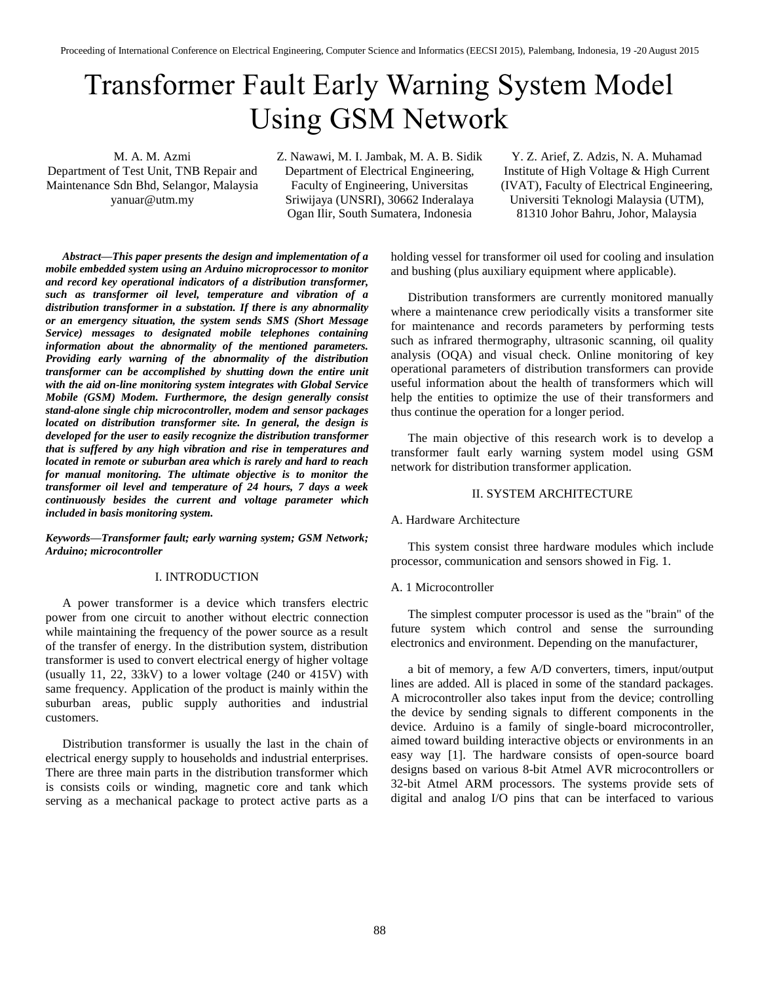# Transformer Fault Early Warning System Model Using GSM Network

M. A. M. Azmi Department of Test Unit, TNB Repair and Maintenance Sdn Bhd, Selangor, Malaysia yanuar@utm.my

Z. Nawawi, M. I. Jambak, M. A. B. Sidik Department of Electrical Engineering, Faculty of Engineering, Universitas Sriwijaya (UNSRI), 30662 Inderalaya Ogan Ilir, South Sumatera, Indonesia

Y. Z. Arief, Z. Adzis, N. A. Muhamad Institute of High Voltage & High Current (IVAT), Faculty of Electrical Engineering, Universiti Teknologi Malaysia (UTM), 81310 Johor Bahru, Johor, Malaysia

*Abstract—This paper presents the design and implementation of a mobile embedded system using an Arduino microprocessor to monitor and record key operational indicators of a distribution transformer, such as transformer oil level, temperature and vibration of a distribution transformer in a substation. If there is any abnormality or an emergency situation, the system sends SMS (Short Message Service) messages to designated mobile telephones containing information about the abnormality of the mentioned parameters. Providing early warning of the abnormality of the distribution transformer can be accomplished by shutting down the entire unit with the aid on-line monitoring system integrates with Global Service Mobile (GSM) Modem. Furthermore, the design generally consist stand-alone single chip microcontroller, modem and sensor packages located on distribution transformer site. In general, the design is developed for the user to easily recognize the distribution transformer that is suffered by any high vibration and rise in temperatures and located in remote or suburban area which is rarely and hard to reach for manual monitoring. The ultimate objective is to monitor the transformer oil level and temperature of 24 hours, 7 days a week continuously besides the current and voltage parameter which included in basis monitoring system.*

*Keywords—Transformer fault; early warning system; GSM Network; Arduino; microcontroller*

## I. INTRODUCTION

A power transformer is a device which transfers electric power from one circuit to another without electric connection while maintaining the frequency of the power source as a result of the transfer of energy. In the distribution system, distribution transformer is used to convert electrical energy of higher voltage (usually 11, 22, 33kV) to a lower voltage (240 or 415V) with same frequency. Application of the product is mainly within the suburban areas, public supply authorities and industrial customers.

Distribution transformer is usually the last in the chain of electrical energy supply to households and industrial enterprises. There are three main parts in the distribution transformer which is consists coils or winding, magnetic core and tank which serving as a mechanical package to protect active parts as a holding vessel for transformer oil used for cooling and insulation and bushing (plus auxiliary equipment where applicable).

Distribution transformers are currently monitored manually where a maintenance crew periodically visits a transformer site for maintenance and records parameters by performing tests such as infrared thermography, ultrasonic scanning, oil quality analysis (OQA) and visual check. Online monitoring of key operational parameters of distribution transformers can provide useful information about the health of transformers which will help the entities to optimize the use of their transformers and thus continue the operation for a longer period.

The main objective of this research work is to develop a transformer fault early warning system model using GSM network for distribution transformer application.

#### II. SYSTEM ARCHITECTURE

#### A. Hardware Architecture

This system consist three hardware modules which include processor, communication and sensors showed in Fig. 1.

#### A. 1 Microcontroller

The simplest computer processor is used as the "brain" of the future system which control and sense the surrounding electronics and environment. Depending on the manufacturer,

a bit of memory, a few A/D converters, timers, input/output lines are added. All is placed in some of the standard packages. A microcontroller also takes input from the device; controlling the device by sending signals to different components in the device. Arduino is a family of single-board microcontroller, aimed toward building interactive objects or environments in an easy way [1]. The hardware consists of open-source board designs based on various 8-bit Atmel AVR microcontrollers or 32-bit Atmel ARM processors. The systems provide sets of digital and analog I/O pins that can be interfaced to various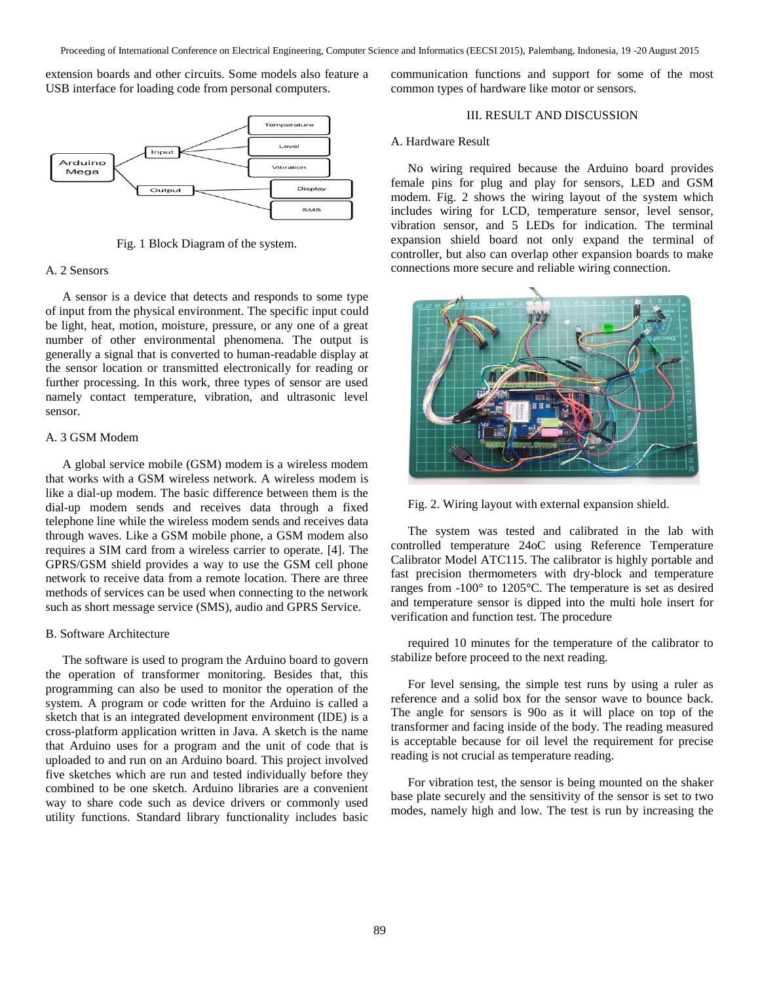extension boards and other circuits. Some models also feature a USB interface for loading code from personal computers.



Fig. 1 Block Diagram of the system.

### A. 2 Sensors

A sensor is a device that detects and responds to some type of input from the physical environment. The specific input could be light, heat, motion, moisture, pressure, or any one of a great number of other environmental phenomena. The output is generally a signal that is converted to human-readable display at the sensor location or transmitted electronically for reading or further processing. In this work, three types of sensor are used namely contact temperature, vibration, and ultrasonic level sensor.

# A. 3 GSM Modem

A global service mobile (GSM) modem is a wireless modem that works with a GSM wireless network. A wireless modem is like a dial-up modem. The basic difference between them is the dial-up modem sends and receives data through a fixed telephone line while the wireless modem sends and receives data through waves. Like a GSM mobile phone, a GSM modem also requires a SIM card from a wireless carrier to operate. [4]. The GPRS/GSM shield provides a way to use the GSM cell phone network to receive data from a remote location. There are three methods of services can be used when connecting to the network such as short message service (SMS), audio and GPRS Service.

# B. Software Architecture

The software is used to program the Arduino board to govern the operation of transformer monitoring. Besides that, this programming can also be used to monitor the operation of the system. A program or code written for the Arduino is called a sketch that is an integrated development environment (IDE) is a cross-platform application written in Java. A sketch is the name that Arduino uses for a program and the unit of code that is uploaded to and run on an Arduino board. This project involved five sketches which are run and tested individually before they combined to be one sketch. Arduino libraries are a convenient way to share code such as device drivers or commonly used utility functions. Standard library functionality includes basic

communication functions and support for some of the most common types of hardware like motor or sensors.

## III. RESULT AND DISCUSSION

### A. Hardware Result

No wiring required because the Arduino board provides female pins for plug and play for sensors, LED and GSM modem. Fig. 2 shows the wiring layout of the system which includes wiring for LCD, temperature sensor, level sensor, vibration sensor, and 5 LEDs for indication. The terminal expansion shield board not only expand the terminal of controller, but also can overlap other expansion boards to make connections more secure and reliable wiring connection.



Fig. 2. Wiring layout with external expansion shield.

The system was tested and calibrated in the lab with controlled temperature 24oC using Reference Temperature Calibrator Model ATC115. The calibrator is highly portable and fast precision thermometers with dry-block and temperature ranges from -100° to 1205°C. The temperature is set as desired and temperature sensor is dipped into the multi hole insert for verification and function test. The procedure

required 10 minutes for the temperature of the calibrator to stabilize before proceed to the next reading.

For level sensing, the simple test runs by using a ruler as reference and a solid box for the sensor wave to bounce back. The angle for sensors is 90o as it will place on top of the transformer and facing inside of the body. The reading measured is acceptable because for oil level the requirement for precise reading is not crucial as temperature reading.

For vibration test, the sensor is being mounted on the shaker base plate securely and the sensitivity of the sensor is set to two modes, namely high and low. The test is run by increasing the